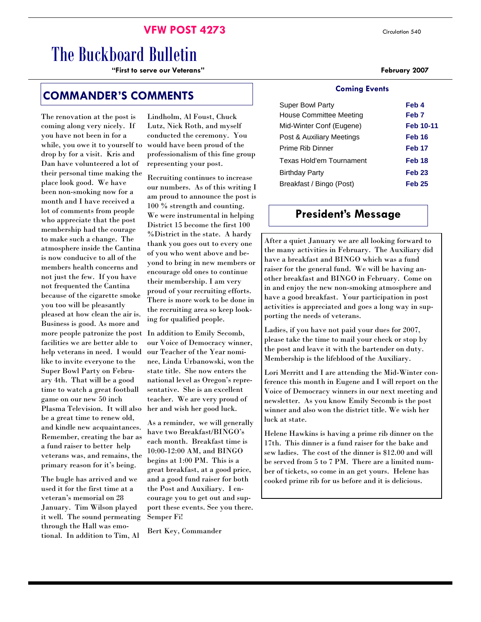### **VFW POST 4273** Circulation 540

# The Buckboard Bulletin

**"First to serve our Veterans" February 2007** 

### **COMMANDER'S COMMENTS**

The renovation at the post is coming along very nicely. If you have not been in for a while, you owe it to yourself to drop by for a visit. Kris and Dan have volunteered a lot of their personal time making the place look good. We have been non-smoking now for a month and I have received a lot of comments from people who appreciate that the post membership had the courage to make such a change. The atmosphere inside the Cantina is now conducive to all of the members health concerns and not just the few. If you have not frequented the Cantina because of the cigarette smoke you too will be pleasantly pleased at how clean the air is. Business is good. As more and more people patronize the post facilities we are better able to help veterans in need. I would like to invite everyone to the Super Bowl Party on February 4th. That will be a good time to watch a great football game on our new 50 inch Plasma Television. It will also be a great time to renew old, and kindle new acquaintances. Remember, creating the bar as a fund raiser to better help veterans was, and remains, the primary reason for it's being.

The bugle has arrived and we used it for the first time at a veteran's memorial on 28 January. Tim Wilson played it well. The sound permeating through the Hall was emotional. In addition to Tim, Al

Lindholm, Al Foust, Chuck Lutz, Nick Roth, and myself conducted the ceremony. You would have been proud of the professionalism of this fine group representing your post.

Recruiting continues to increase our numbers. As of this writing I am proud to announce the post is 100 % strength and counting. We were instrumental in helping District 15 become the first 100 %District in the state. A hardy thank you goes out to every one of you who went above and beyond to bring in new members or encourage old ones to continue their membership. I am very proud of your recruiting efforts. There is more work to be done in the recruiting area so keep looking for qualified people.

In addition to Emily Secomb, our Voice of Democracy winner, our Teacher of the Year nominee, Linda Urbanowski, won the state title. She now enters the national level as Oregon's representative. She is an excellent teacher. We are very proud of her and wish her good luck.

As a reminder, we will generally have two Breakfast/BINGO's each month. Breakfast time is 10:00-12:00 AM, and BINGO begins at 1:00 PM. This is a great breakfast, at a good price, and a good fund raiser for both the Post and Auxiliary. I encourage you to get out and support these events. See you there. Semper Fi!

Bert Key, Commander

#### **Coming Events**

| Feb 4             |
|-------------------|
| Feb <sub>7</sub>  |
| <b>Feb 10-11</b>  |
| Feb 16            |
| Feb <sub>17</sub> |
| Feb 18            |
| Feb <sub>23</sub> |
| <b>Feb 25</b>     |
|                   |

## **President's Message**

After a quiet January we are all looking forward to the many activities in February. The Auxiliary did have a breakfast and BINGO which was a fund raiser for the general fund. We will be having another breakfast and BINGO in February. Come on in and enjoy the new non-smoking atmosphere and have a good breakfast. Your participation in post activities is appreciated and goes a long way in supporting the needs of veterans.

Ladies, if you have not paid your dues for 2007, please take the time to mail your check or stop by the post and leave it with the bartender on duty. Membership is the lifeblood of the Auxiliary.

Lori Merritt and I are attending the Mid-Winter conference this month in Eugene and I will report on the Voice of Democracy winners in our next meeting and newsletter. As you know Emily Secomb is the post winner and also won the district title. We wish her luck at state.

Helene Hawkins is having a prime rib dinner on the 17th. This dinner is a fund raiser for the bake and sew ladies. The cost of the dinner is \$12.00 and will be served from 5 to 7 PM. There are a limited number of tickets, so come in an get yours. Helene has cooked prime rib for us before and it is delicious.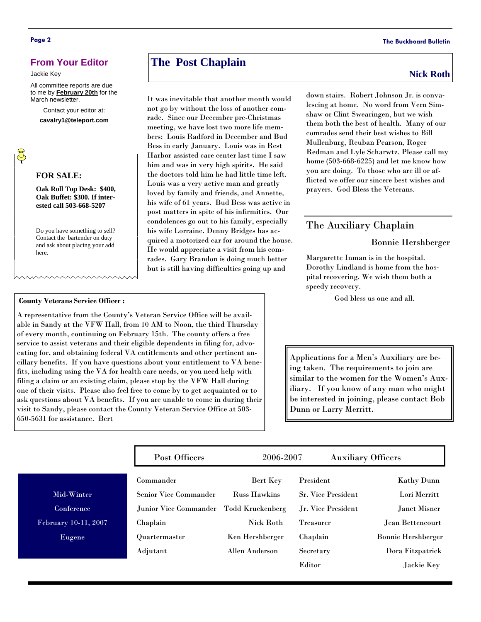#### **From Your Editor**

Jackie Key

All committee reports are due to me by **February 20th** for the March newsletter.

> Contact your editor at: **cavalry1@teleport.com**

#### **FOR SALE:**

**Oak Roll Top Desk: \$400, Oak Buffet: \$300. If interested call 503-668-5207** 

Do you have something to sell? Contact the bartender on duty and ask about placing your add here.

#### **County Veterans Service Officer :**

Mid-Winte **Conferenc** 

Eugene

February 10-11

A representative from the County's Veteran Service Office will be available in Sandy at the VFW Hall, from 10 AM to Noon, the third Thursday of every month, continuing on February 15th. The county offers a free service to assist veterans and their eligible dependents in filing for, advocating for, and obtaining federal VA entitlements and other pertinent ancillary benefits. If you have questions about your entitlement to VA benefits, including using the VA for health care needs, or you need help with filing a claim or an existing claim, please stop by the VFW Hall during one of their visits. Please also feel free to come by to get acquainted or to ask questions about VA benefits. If you are unable to come in during their visit to Sandy, please contact the County Veteran Service Office at 503- 650-5631 for assistance. Bert

# **The Post Chaplain** Nick Roth **Nick Roth**

It was inevitable that another month would not go by without the loss of another comrade. Since our December pre-Christmas meeting, we have lost two more life members: Louis Radford in December and Bud Bess in early January. Louis was in Rest Harbor assisted care center last time I saw him and was in very high spirits. He said the doctors told him he had little time left. Louis was a very active man and greatly loved by family and friends, and Annette, his wife of 61 years. Bud Bess was active in post matters in spite of his infirmities. Our condolences go out to his family, especially his wife Lorraine. Denny Bridges has acquired a motorized car for around the house. He would appreciate a visit from his comrades. Gary Brandon is doing much better but is still having difficulties going up and

down stairs. Robert Johnson Jr. is convalescing at home. No word from Vern Simshaw or Clint Swearingen, but we wish them both the best of health. Many of our comrades send their best wishes to Bill Mullenburg, Reuban Pearson, Roger Redman and Lyle Scharwtz. Please call my home (503-668-6225) and let me know how you are doing. To those who are ill or afflicted we offer our sincere best wishes and prayers. God Bless the Veterans.

#### The Auxiliary Chaplain

#### Bonnie Hershberger

Margarette Inman is in the hospital. Dorothy Lindland is home from the hospital recovering. We wish them both a speedy recovery.

God bless us one and all.

Applications for a Men's Auxiliary are being taken. The requirements to join are similar to the women for the Women's Auxiliary. If you know of any man who might be interested in joining, please contact Bob Dunn or Larry Merritt.

|       | Post Officers                | 2006-2007           | <b>Auxiliary Officers</b> |                           |
|-------|------------------------------|---------------------|---------------------------|---------------------------|
|       | Commander                    | Bert Key            | President                 | <b>Kathy Dunn</b>         |
| Ŧ.    | <b>Senior Vice Commander</b> | <b>Russ Hawkins</b> | <b>Sr. Vice President</b> | Lori Merritt              |
| ė     | Junior Vice Commander        | Todd Kruckenberg    | Jr. Vice President        | Janet Misner              |
| .2007 | Chaplain                     | <b>Nick Roth</b>    | <b>Treasurer</b>          | Jean Bettencourt          |
|       | Quartermaster                | Ken Hershberger     | Chaplain                  | <b>Bonnie Hershberger</b> |
|       | Adjutant                     | Allen Anderson      | Secretary                 | Dora Fitzpatrick          |
|       |                              |                     | Editor                    | Jackie Key                |

#### **Page 2 The Buckboard Bulletin**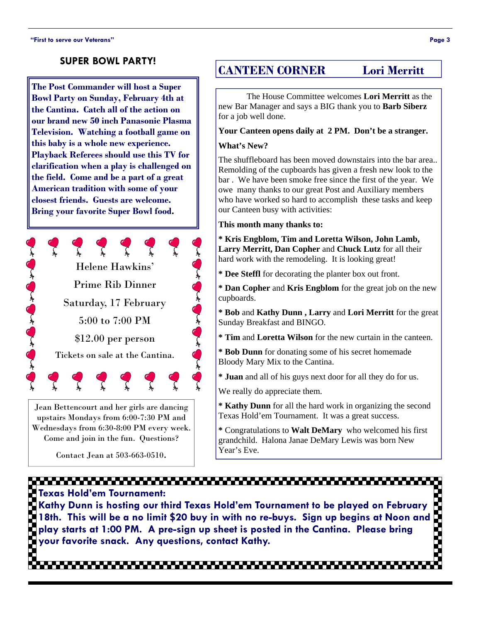#### **SUPER BOWL PARTY!**

**The Post Commander will host a Super Bowl Party on Sunday, February 4th at the Cantina. Catch all of the action on our brand new 50 inch Panasonic Plasma Television. Watching a football game on this baby is a whole new experience. Playback Referees should use this TV for clarification when a play is challenged on the field. Come and be a part of a great American tradition with some of your closest friends. Guests are welcome. Bring your favorite Super Bowl food.** 



Jean Bettencourt and her girls are dancing upstairs Mondays from 6:00-7:30 PM and Wednesdays from 6:30-8:00 PM every week. Come and join in the fun. Questions?

Contact Jean at 503-663-0510.

# **CANTEEN CORNER Lori Merritt**

The House Committee welcomes **Lori Merritt** as the new Bar Manager and says a BIG thank you to **Barb Siberz**  for a job well done.

#### **Your Canteen opens daily at 2 PM. Don't be a stranger.**

#### **What's New?**

The shuffleboard has been moved downstairs into the bar area.. Remolding of the cupboards has given a fresh new look to the bar . We have been smoke free since the first of the year. We owe many thanks to our great Post and Auxiliary members who have worked so hard to accomplish these tasks and keep our Canteen busy with activities:

#### **This month many thanks to:**

**\* Kris Engblom, Tim and Loretta Wilson, John Lamb, Larry Merritt, Dan Copher** and **Chuck Lutz** for all their hard work with the remodeling. It is looking great!

**\* Dee Steffl** for decorating the planter box out front.

**\* Dan Copher** and **Kris Engblom** for the great job on the new cupboards.

**\* Bob** and **Kathy Dunn , Larry** and **Lori Merritt** for the great Sunday Breakfast and BINGO.

**\* Tim** and **Loretta Wilson** for the new curtain in the canteen.

 Bloody Mary Mix to the Cantina. **\* Bob Dunn** for donating some of his secret homemade

**\* Juan** and all of his guys next door for all they do for us.

We really do appreciate them.

**\* Kathy Dunn** for all the hard work in organizing the second Texas Hold'em Tournament. It was a great success.

**\*** Congratulations to **Walt DeMary** who welcomed his first grandchild. Halona Janae DeMary Lewis was born New Year's Eve.

# 

**Texas Hold'em Tournament: Kathy Dunn is hosting our third Texas Hold'em Tournament to be played on February 18th. This will be a no limit \$20 buy in with no re-buys. Sign up begins at Noon and play starts at 1:00 PM. A pre-sign up sheet is posted in the Cantina. Please bring your favorite snack. Any questions, contact Kathy.**